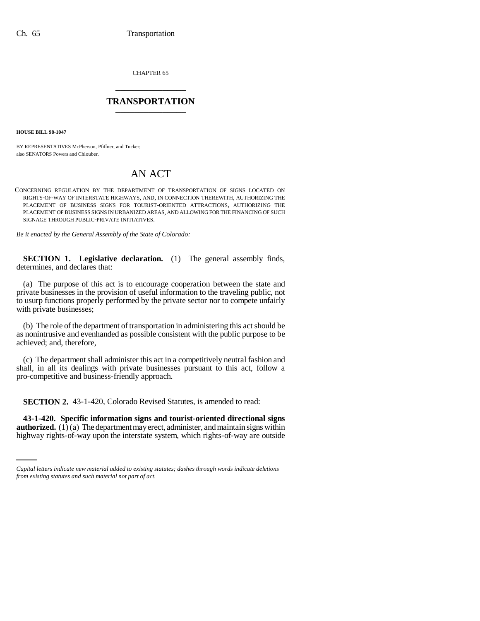CHAPTER 65 \_\_\_\_\_\_\_\_\_\_\_\_\_\_\_

## **TRANSPORTATION** \_\_\_\_\_\_\_\_\_\_\_\_\_\_\_

**HOUSE BILL 98-1047**

BY REPRESENTATIVES McPherson, Pfiffner, and Tucker; also SENATORS Powers and Chlouber.

## AN ACT

CONCERNING REGULATION BY THE DEPARTMENT OF TRANSPORTATION OF SIGNS LOCATED ON RIGHTS-OF-WAY OF INTERSTATE HIGHWAYS, AND, IN CONNECTION THEREWITH, AUTHORIZING THE PLACEMENT OF BUSINESS SIGNS FOR TOURIST-ORIENTED ATTRACTIONS, AUTHORIZING THE PLACEMENT OF BUSINESS SIGNS IN URBANIZED AREAS, AND ALLOWING FOR THE FINANCING OF SUCH SIGNAGE THROUGH PUBLIC-PRIVATE INITIATIVES.

*Be it enacted by the General Assembly of the State of Colorado:*

**SECTION 1. Legislative declaration.** (1) The general assembly finds, determines, and declares that:

(a) The purpose of this act is to encourage cooperation between the state and private businesses in the provision of useful information to the traveling public, not to usurp functions properly performed by the private sector nor to compete unfairly with private businesses;

(b) The role of the department of transportation in administering this act should be as nonintrusive and evenhanded as possible consistent with the public purpose to be achieved; and, therefore,

(c) The department shall administer this act in a competitively neutral fashion and shall, in all its dealings with private businesses pursuant to this act, follow a pro-competitive and business-friendly approach.

**SECTION 2.** 43-1-420, Colorado Revised Statutes, is amended to read:

 **43-1-420. Specific information signs and tourist-oriented directional signs authorized.**  $(1)$  (a) The department may erect, administer, and maintain signs within highway rights-of-way upon the interstate system, which rights-of-way are outside

*Capital letters indicate new material added to existing statutes; dashes through words indicate deletions from existing statutes and such material not part of act.*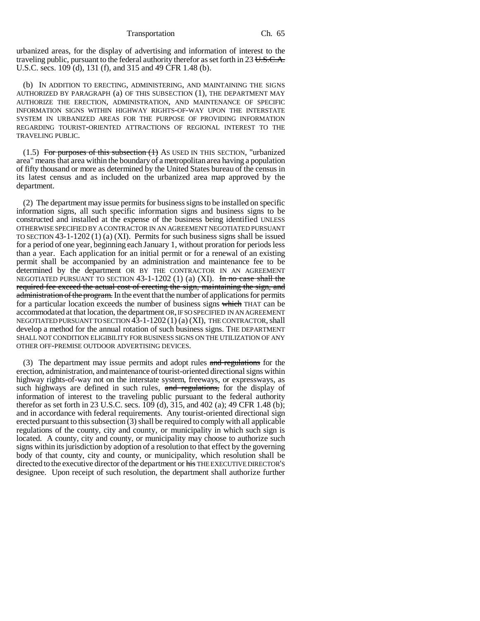Transportation Ch. 65

urbanized areas, for the display of advertising and information of interest to the traveling public, pursuant to the federal authority therefor as set forth in  $23$  U.S.C.A. U.S.C. secs. 109 (d), 131 (f), and 315 and 49 CFR 1.48 (b).

(b) IN ADDITION TO ERECTING, ADMINISTERING, AND MAINTAINING THE SIGNS AUTHORIZED BY PARAGRAPH (a) OF THIS SUBSECTION (1), THE DEPARTMENT MAY AUTHORIZE THE ERECTION, ADMINISTRATION, AND MAINTENANCE OF SPECIFIC INFORMATION SIGNS WITHIN HIGHWAY RIGHTS-OF-WAY UPON THE INTERSTATE SYSTEM IN URBANIZED AREAS FOR THE PURPOSE OF PROVIDING INFORMATION REGARDING TOURIST-ORIENTED ATTRACTIONS OF REGIONAL INTEREST TO THE TRAVELING PUBLIC.

 $(1.5)$  For purposes of this subsection  $(1)$  As USED IN THIS SECTION, "urbanized area" means that area within the boundary of a metropolitan area having a population of fifty thousand or more as determined by the United States bureau of the census in its latest census and as included on the urbanized area map approved by the department.

(2) The department may issue permits for business signs to be installed on specific information signs, all such specific information signs and business signs to be constructed and installed at the expense of the business being identified UNLESS OTHERWISE SPECIFIED BY A CONTRACTOR IN AN AGREEMENT NEGOTIATED PURSUANT TO SECTION 43-1-1202 (1) (a) (XI). Permits for such business signs shall be issued for a period of one year, beginning each January 1, without proration for periods less than a year. Each application for an initial permit or for a renewal of an existing permit shall be accompanied by an administration and maintenance fee to be determined by the department OR BY THE CONTRACTOR IN AN AGREEMENT NEGOTIATED PURSUANT TO SECTION  $43$ -1-1202 (1) (a) (XI). In no case shall the required fee exceed the actual cost of erecting the sign, maintaining the sign, and administration of the program. In the event that the number of applications for permits for a particular location exceeds the number of business signs which THAT can be accommodated at that location, the department OR, IF SO SPECIFIED IN AN AGREEMENT NEGOTIATED PURSUANT TO SECTION 43-1-1202 (1) (a) (XI), THE CONTRACTOR, shall develop a method for the annual rotation of such business signs. THE DEPARTMENT SHALL NOT CONDITION ELIGIBILITY FOR BUSINESS SIGNS ON THE UTILIZATION OF ANY OTHER OFF-PREMISE OUTDOOR ADVERTISING DEVICES.

(3) The department may issue permits and adopt rules and regulations for the erection, administration, and maintenance of tourist-oriented directional signs within highway rights-of-way not on the interstate system, freeways, or expressways, as such highways are defined in such rules, and regulations, for the display of information of interest to the traveling public pursuant to the federal authority therefor as set forth in 23 U.S.C. secs. 109 (d), 315, and 402 (a); 49 CFR 1.48 (b); and in accordance with federal requirements. Any tourist-oriented directional sign erected pursuant to this subsection (3) shall be required to comply with all applicable regulations of the county, city and county, or municipality in which such sign is located. A county, city and county, or municipality may choose to authorize such signs within its jurisdiction by adoption of a resolution to that effect by the governing body of that county, city and county, or municipality, which resolution shall be directed to the executive director of the department or his THE EXECUTIVE DIRECTOR'S designee. Upon receipt of such resolution, the department shall authorize further